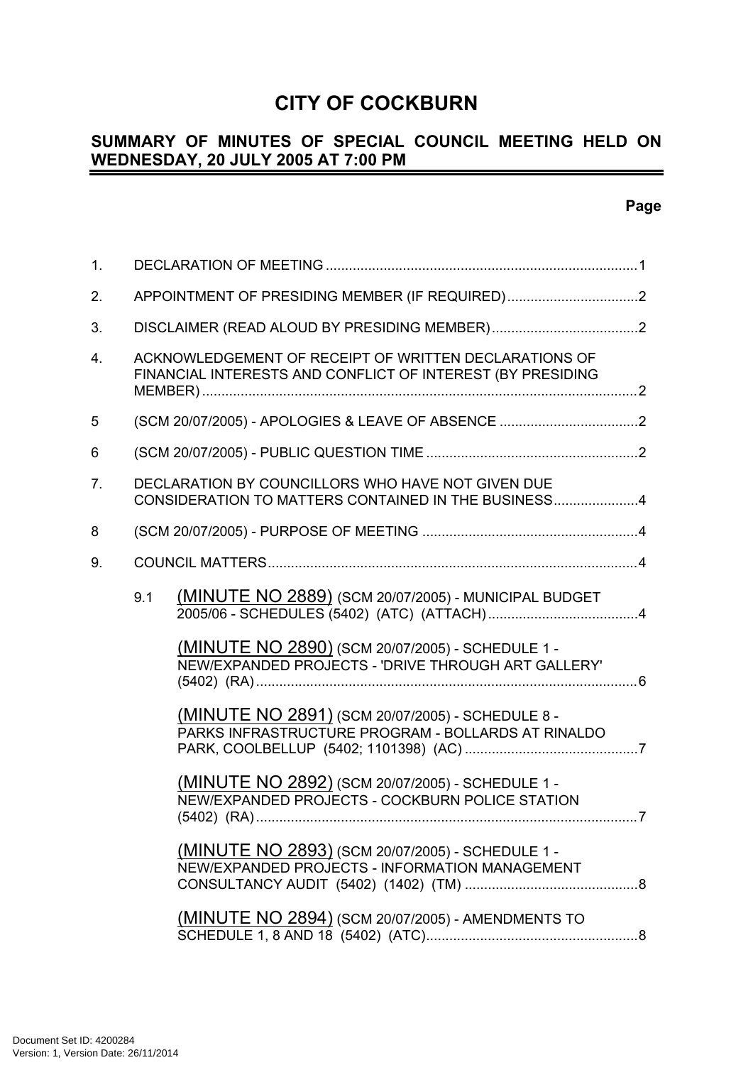# **CITY OF COCKBURN**

#### **SUMMARY OF MINUTES OF SPECIAL COUNCIL MEETING HELD ON WEDNESDAY, 20 JULY 2005 AT 7:00 PM**  $\overline{\phantom{0}}$

| 1.             |                                                   |                                                                                                                     |  |
|----------------|---------------------------------------------------|---------------------------------------------------------------------------------------------------------------------|--|
| 2.             |                                                   | APPOINTMENT OF PRESIDING MEMBER (IF REQUIRED)2                                                                      |  |
| 3.             |                                                   |                                                                                                                     |  |
| 4.             |                                                   | ACKNOWLEDGEMENT OF RECEIPT OF WRITTEN DECLARATIONS OF<br>FINANCIAL INTERESTS AND CONFLICT OF INTEREST (BY PRESIDING |  |
| 5              | (SCM 20/07/2005) - APOLOGIES & LEAVE OF ABSENCE 2 |                                                                                                                     |  |
| 6              |                                                   |                                                                                                                     |  |
| 7 <sub>1</sub> |                                                   | DECLARATION BY COUNCILLORS WHO HAVE NOT GIVEN DUE<br>CONSIDERATION TO MATTERS CONTAINED IN THE BUSINESS4            |  |
| 8              |                                                   |                                                                                                                     |  |
| 9.             |                                                   |                                                                                                                     |  |
|                | 9.1                                               | (MINUTE NO 2889) (SCM 20/07/2005) - MUNICIPAL BUDGET                                                                |  |
|                |                                                   | (MINUTE NO 2890) (SCM 20/07/2005) - SCHEDULE 1 -<br>NEW/EXPANDED PROJECTS - 'DRIVE THROUGH ART GALLERY'             |  |
|                |                                                   | (MINUTE NO 2891) (SCM 20/07/2005) - SCHEDULE 8 -<br>PARKS INFRASTRUCTURE PROGRAM - BOLLARDS AT RINALDO              |  |
|                |                                                   | (MINUTE NO 2892) (SCM 20/07/2005) - SCHEDULE 1 -<br>NEW/EXPANDED PROJECTS - COCKBURN POLICE STATION                 |  |
|                |                                                   | (MINUTE NO 2893) (SCM 20/07/2005) - SCHEDULE 1 -<br>NEW/EXPANDED PROJECTS - INFORMATION MANAGEMENT                  |  |
|                |                                                   | <u>(MINUTE NO 2894)</u> (SCM 20/07/2005) - AMENDMENTS TO                                                            |  |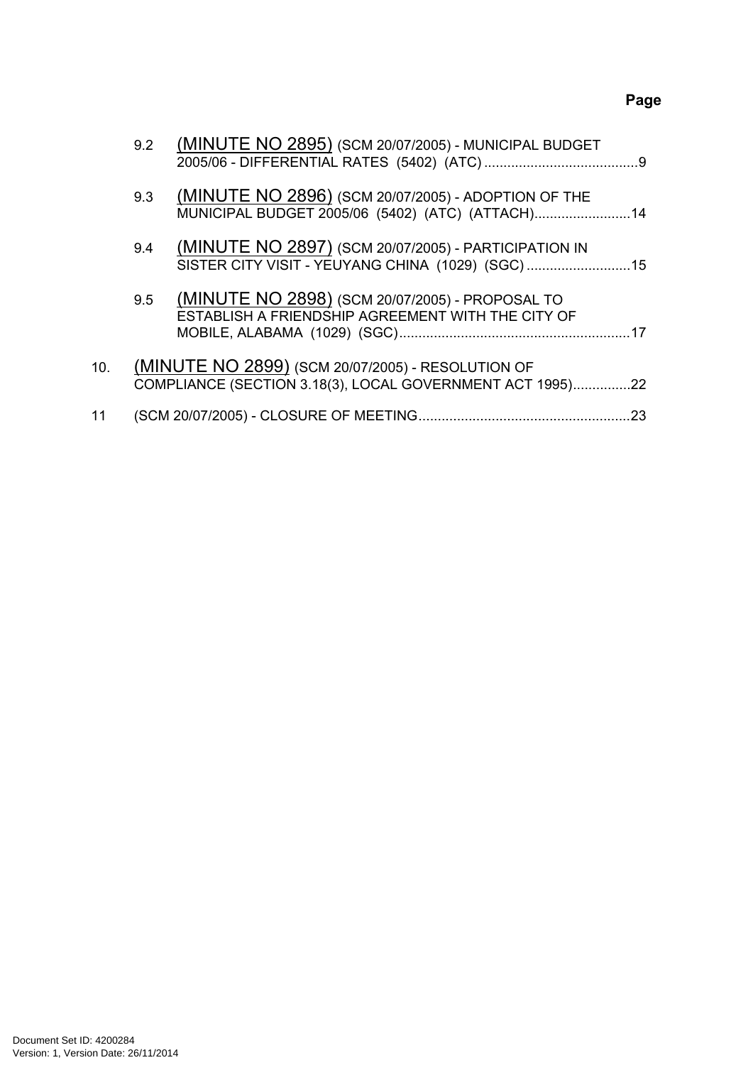# **Page**

|     | 9.2 | (MINUTE NO 2895) (SCM 20/07/2005) - MUNICIPAL BUDGET                                                           |     |
|-----|-----|----------------------------------------------------------------------------------------------------------------|-----|
|     | 9.3 | (MINUTE NO 2896) (SCM 20/07/2005) - ADOPTION OF THE<br>MUNICIPAL BUDGET 2005/06 (5402) (ATC) (ATTACH) 14       |     |
|     | 9.4 | (MINUTE NO 2897) (SCM 20/07/2005) - PARTICIPATION IN<br>SISTER CITY VISIT - YEUYANG CHINA (1029) (SGC)15       |     |
|     | 9.5 | (MINUTE NO 2898) (SCM 20/07/2005) - PROPOSAL TO<br>ESTABLISH A FRIENDSHIP AGREEMENT WITH THE CITY OF           |     |
| 10. |     | (MINUTE NO 2899) (SCM 20/07/2005) - RESOLUTION OF<br>COMPLIANCE (SECTION 3.18(3), LOCAL GOVERNMENT ACT 1995)22 |     |
| 11  |     |                                                                                                                | .23 |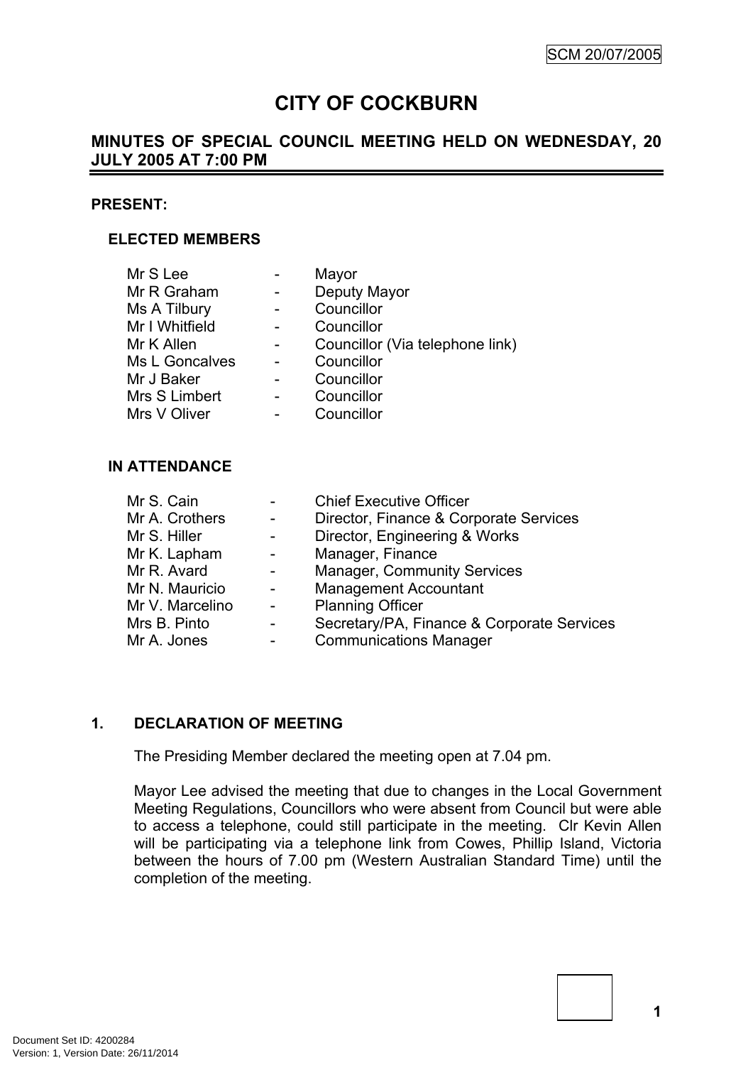# **CITY OF COCKBURN**

# **MINUTES OF SPECIAL COUNCIL MEETING HELD ON WEDNESDAY, 20 JULY 2005 AT 7:00 PM**

#### **PRESENT:**

### **ELECTED MEMBERS**

| Mr S Lee       |                | Mayor                           |
|----------------|----------------|---------------------------------|
| Mr R Graham    |                | Deputy Mayor                    |
| Ms A Tilbury   |                | Councillor                      |
| Mr I Whitfield |                | Councillor                      |
| Mr K Allen     |                | Councillor (Via telephone link) |
| Ms L Goncalves |                | Councillor                      |
| Mr J Baker     |                | Councillor                      |
| Mrs S Limbert  |                | Councillor                      |
| Mrs V Oliver   | $\blacksquare$ | Councillor                      |
|                |                |                                 |

### **IN ATTENDANCE**

| Mr S. Cain      |                          | <b>Chief Executive Officer</b>             |
|-----------------|--------------------------|--------------------------------------------|
| Mr A. Crothers  | $\overline{a}$           | Director, Finance & Corporate Services     |
| Mr S. Hiller    | $\sim$                   | Director, Engineering & Works              |
| Mr K. Lapham    | $\overline{\phantom{a}}$ | Manager, Finance                           |
| Mr R. Avard     | $\overline{\phantom{a}}$ | <b>Manager, Community Services</b>         |
| Mr N. Mauricio  | $\blacksquare$           | <b>Management Accountant</b>               |
| Mr V. Marcelino | $\blacksquare$           | <b>Planning Officer</b>                    |
| Mrs B. Pinto    | $\blacksquare$           | Secretary/PA, Finance & Corporate Services |
| Mr A. Jones     | -                        | <b>Communications Manager</b>              |

## <span id="page-2-0"></span>**1. DECLARATION OF MEETING**

The Presiding Member declared the meeting open at 7.04 pm.

Mayor Lee advised the meeting that due to changes in the Local Government Meeting Regulations, Councillors who were absent from Council but were able to access a telephone, could still participate in the meeting. Clr Kevin Allen will be participating via a telephone link from Cowes, Phillip Island, Victoria between the hours of 7.00 pm (Western Australian Standard Time) until the completion of the meeting.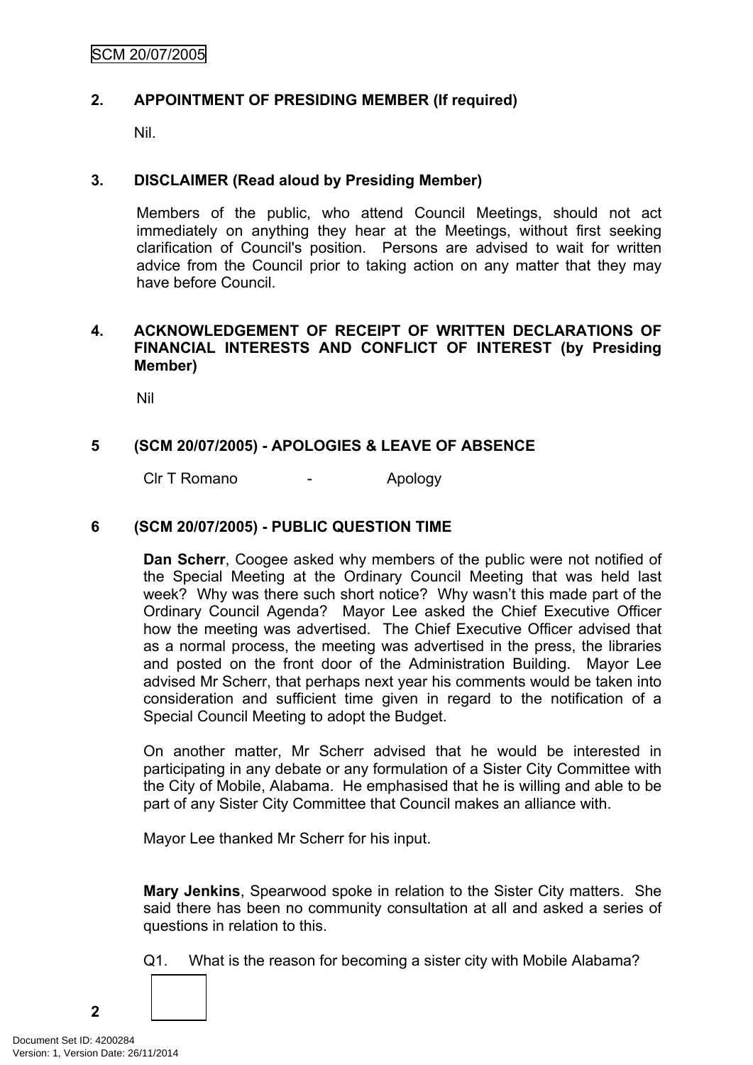## <span id="page-3-0"></span>**2. APPOINTMENT OF PRESIDING MEMBER (If required)**

Nil.

### <span id="page-3-1"></span>**3. DISCLAIMER (Read aloud by Presiding Member)**

Members of the public, who attend Council Meetings, should not act immediately on anything they hear at the Meetings, without first seeking clarification of Council's position. Persons are advised to wait for written advice from the Council prior to taking action on any matter that they may have before Council.

### <span id="page-3-2"></span>**4. ACKNOWLEDGEMENT OF RECEIPT OF WRITTEN DECLARATIONS OF FINANCIAL INTERESTS AND CONFLICT OF INTEREST (by Presiding Member)**

Nil

# <span id="page-3-3"></span>**5 (SCM 20/07/2005) - APOLOGIES & LEAVE OF ABSENCE**

Clr T Romano - Apology

### <span id="page-3-4"></span>**6 (SCM 20/07/2005) - PUBLIC QUESTION TIME**

**Dan Scherr**, Coogee asked why members of the public were not notified of the Special Meeting at the Ordinary Council Meeting that was held last week? Why was there such short notice? Why wasn't this made part of the Ordinary Council Agenda? Mayor Lee asked the Chief Executive Officer how the meeting was advertised. The Chief Executive Officer advised that as a normal process, the meeting was advertised in the press, the libraries and posted on the front door of the Administration Building. Mayor Lee advised Mr Scherr, that perhaps next year his comments would be taken into consideration and sufficient time given in regard to the notification of a Special Council Meeting to adopt the Budget.

On another matter, Mr Scherr advised that he would be interested in participating in any debate or any formulation of a Sister City Committee with the City of Mobile, Alabama. He emphasised that he is willing and able to be part of any Sister City Committee that Council makes an alliance with.

Mayor Lee thanked Mr Scherr for his input.

**Mary Jenkins**, Spearwood spoke in relation to the Sister City matters. She said there has been no community consultation at all and asked a series of questions in relation to this.

Q1. What is the reason for becoming a sister city with Mobile Alabama?

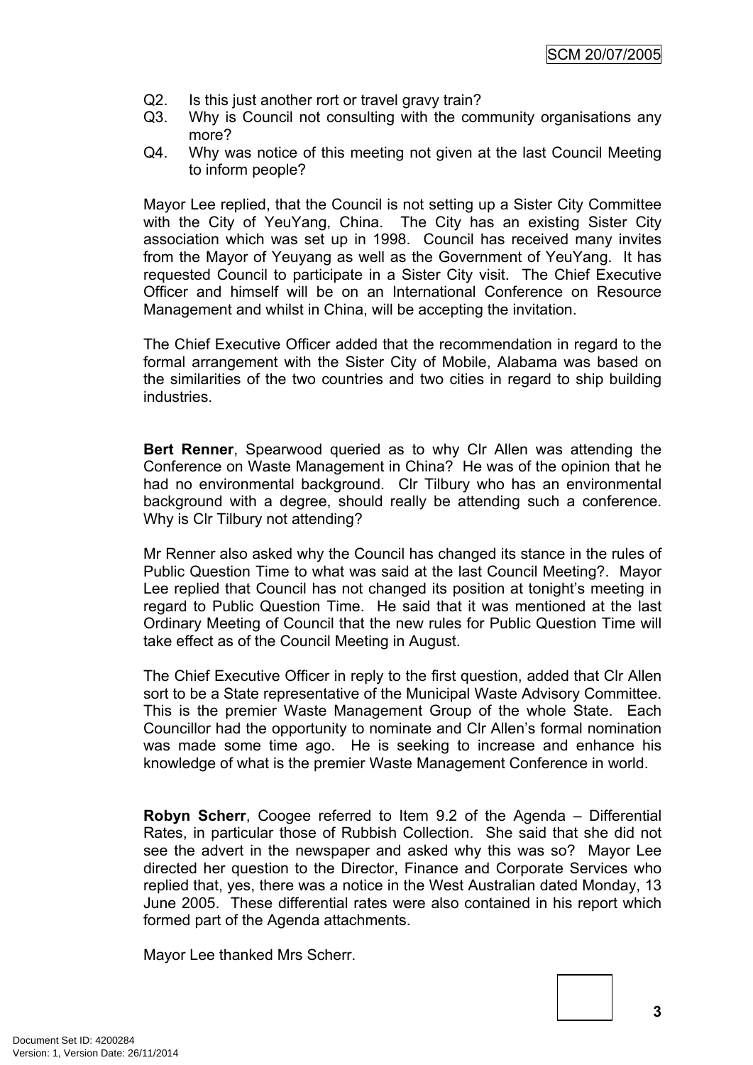- Q2. Is this just another rort or travel gravy train?
- Q3. Why is Council not consulting with the community organisations any more?
- Q4. Why was notice of this meeting not given at the last Council Meeting to inform people?

Mayor Lee replied, that the Council is not setting up a Sister City Committee with the City of YeuYang, China. The City has an existing Sister City association which was set up in 1998. Council has received many invites from the Mayor of Yeuyang as well as the Government of YeuYang. It has requested Council to participate in a Sister City visit. The Chief Executive Officer and himself will be on an International Conference on Resource Management and whilst in China, will be accepting the invitation.

The Chief Executive Officer added that the recommendation in regard to the formal arrangement with the Sister City of Mobile, Alabama was based on the similarities of the two countries and two cities in regard to ship building industries.

**Bert Renner**, Spearwood queried as to why Clr Allen was attending the Conference on Waste Management in China? He was of the opinion that he had no environmental background. Clr Tilbury who has an environmental background with a degree, should really be attending such a conference. Why is Clr Tilbury not attending?

Mr Renner also asked why the Council has changed its stance in the rules of Public Question Time to what was said at the last Council Meeting?. Mayor Lee replied that Council has not changed its position at tonight's meeting in regard to Public Question Time. He said that it was mentioned at the last Ordinary Meeting of Council that the new rules for Public Question Time will take effect as of the Council Meeting in August.

The Chief Executive Officer in reply to the first question, added that Clr Allen sort to be a State representative of the Municipal Waste Advisory Committee. This is the premier Waste Management Group of the whole State. Each Councillor had the opportunity to nominate and Clr Allen's formal nomination was made some time ago. He is seeking to increase and enhance his knowledge of what is the premier Waste Management Conference in world.

**Robyn Scherr**, Coogee referred to Item 9.2 of the Agenda – Differential Rates, in particular those of Rubbish Collection. She said that she did not see the advert in the newspaper and asked why this was so? Mayor Lee directed her question to the Director, Finance and Corporate Services who replied that, yes, there was a notice in the West Australian dated Monday, 13 June 2005. These differential rates were also contained in his report which formed part of the Agenda attachments.

Mayor Lee thanked Mrs Scherr.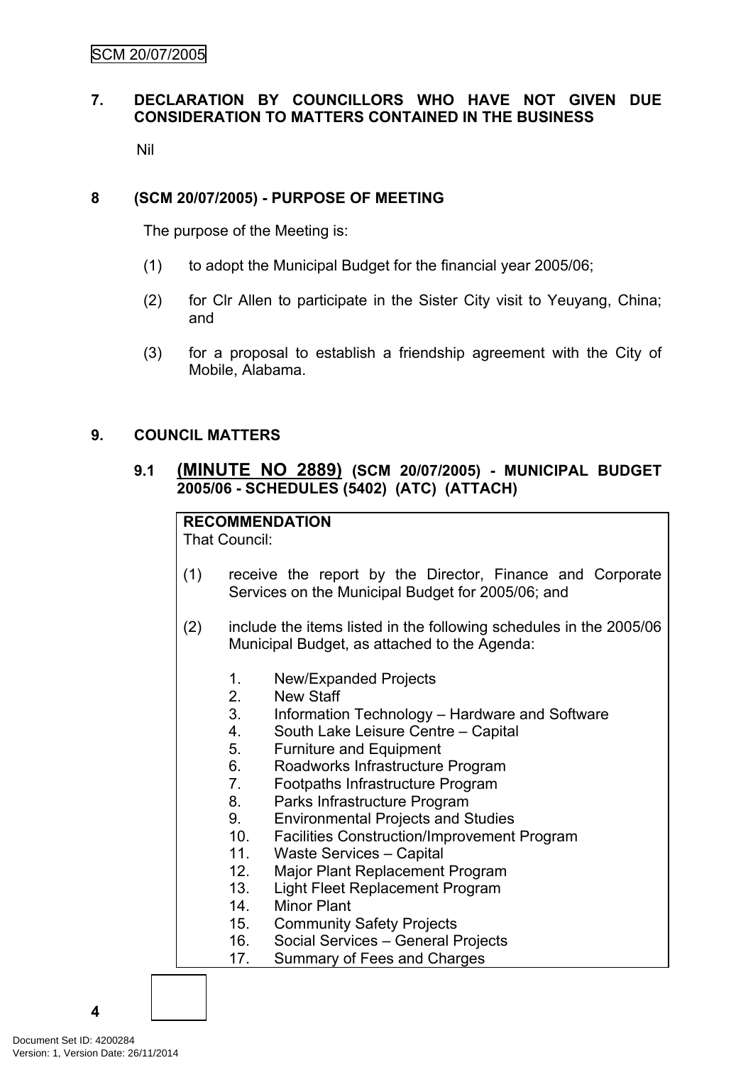# <span id="page-5-0"></span>**7. DECLARATION BY COUNCILLORS WHO HAVE NOT GIVEN DUE CONSIDERATION TO MATTERS CONTAINED IN THE BUSINESS**

Nil

### <span id="page-5-1"></span>**8 (SCM 20/07/2005) - PURPOSE OF MEETING**

The purpose of the Meeting is:

- (1) to adopt the Municipal Budget for the financial year 2005/06;
- (2) for Clr Allen to participate in the Sister City visit to Yeuyang, China; and
- (3) for a proposal to establish a friendship agreement with the City of Mobile, Alabama.

### <span id="page-5-2"></span>**9. COUNCIL MATTERS**

# <span id="page-5-3"></span>**9.1 (MINUTE NO 2889) (SCM 20/07/2005) - MUNICIPAL BUDGET 2005/06 - SCHEDULES (5402) (ATC) (ATTACH)**

# **RECOMMENDATION**

That Council:

- (1) receive the report by the Director, Finance and Corporate Services on the Municipal Budget for 2005/06; and
- (2) include the items listed in the following schedules in the 2005/06 Municipal Budget, as attached to the Agenda:
	- 1. New/Expanded Projects
	- 2. New Staff
	- 3. Information Technology Hardware and Software
	- 4. South Lake Leisure Centre Capital
	- 5. Furniture and Equipment
	- 6. Roadworks Infrastructure Program
	- 7. Footpaths Infrastructure Program
	- 8. Parks Infrastructure Program
	- 9. Environmental Projects and Studies
	- 10. Facilities Construction/Improvement Program
	- 11. Waste Services Capital
	- 12. Major Plant Replacement Program
	- 13. Light Fleet Replacement Program
	- 14. Minor Plant
	- 15. Community Safety Projects
	- 16. Social Services General Projects
	- 17. Summary of Fees and Charges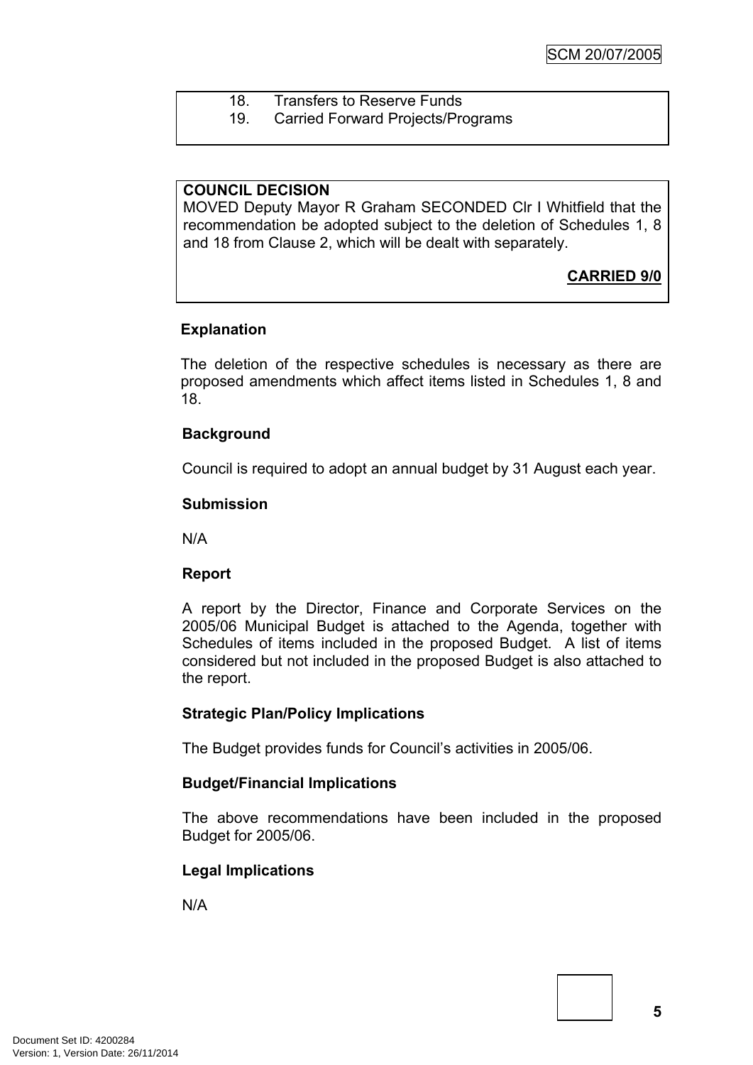- 18. Transfers to Reserve Funds
- 19. Carried Forward Projects/Programs

### **COUNCIL DECISION**

MOVED Deputy Mayor R Graham SECONDED Clr I Whitfield that the recommendation be adopted subject to the deletion of Schedules 1, 8 and 18 from Clause 2, which will be dealt with separately.

# **CARRIED 9/0**

### **Explanation**

The deletion of the respective schedules is necessary as there are proposed amendments which affect items listed in Schedules 1, 8 and 18.

### **Background**

Council is required to adopt an annual budget by 31 August each year.

#### **Submission**

N/A

### **Report**

A report by the Director, Finance and Corporate Services on the 2005/06 Municipal Budget is attached to the Agenda, together with Schedules of items included in the proposed Budget. A list of items considered but not included in the proposed Budget is also attached to the report.

### **Strategic Plan/Policy Implications**

The Budget provides funds for Council's activities in 2005/06.

### **Budget/Financial Implications**

The above recommendations have been included in the proposed Budget for 2005/06.

### **Legal Implications**

N/A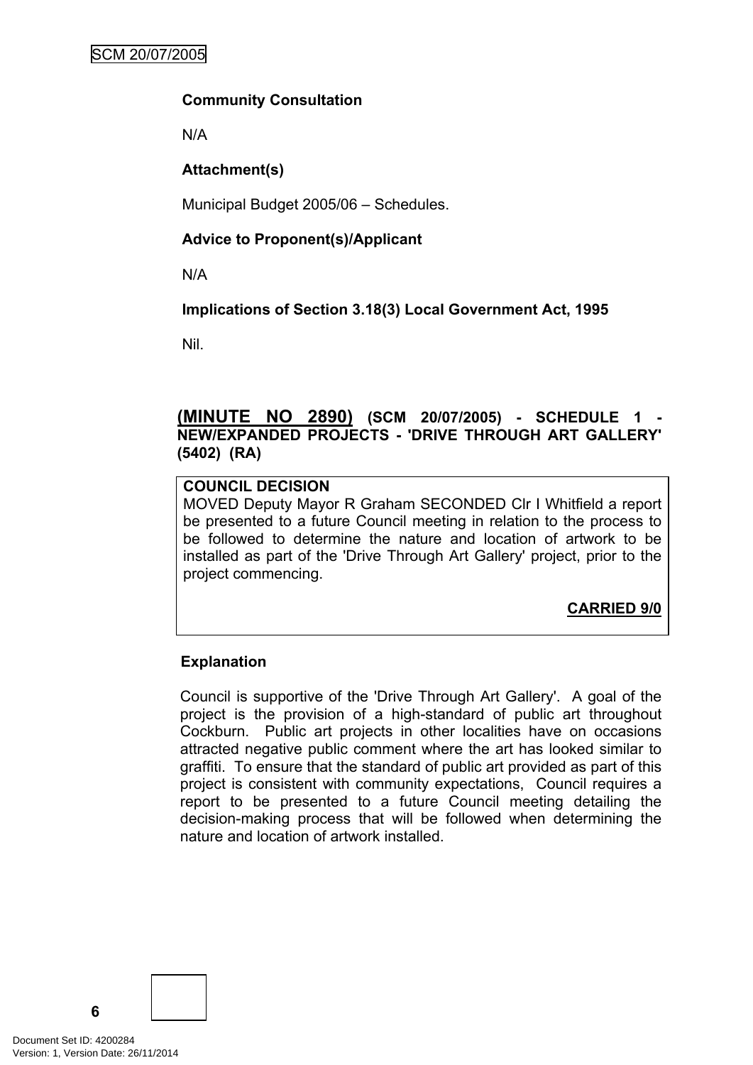### **Community Consultation**

N/A

# **Attachment(s)**

Municipal Budget 2005/06 – Schedules.

# **Advice to Proponent(s)/Applicant**

N/A

# **Implications of Section 3.18(3) Local Government Act, 1995**

Nil.

## <span id="page-7-0"></span>**(MINUTE NO 2890) (SCM 20/07/2005) - SCHEDULE 1 - NEW/EXPANDED PROJECTS - 'DRIVE THROUGH ART GALLERY' (5402) (RA)**

# **COUNCIL DECISION**

MOVED Deputy Mayor R Graham SECONDED Clr I Whitfield a report be presented to a future Council meeting in relation to the process to be followed to determine the nature and location of artwork to be installed as part of the 'Drive Through Art Gallery' project, prior to the project commencing.

**CARRIED 9/0**

### **Explanation**

Council is supportive of the 'Drive Through Art Gallery'. A goal of the project is the provision of a high-standard of public art throughout Cockburn. Public art projects in other localities have on occasions attracted negative public comment where the art has looked similar to graffiti. To ensure that the standard of public art provided as part of this project is consistent with community expectations, Council requires a report to be presented to a future Council meeting detailing the decision-making process that will be followed when determining the nature and location of artwork installed.

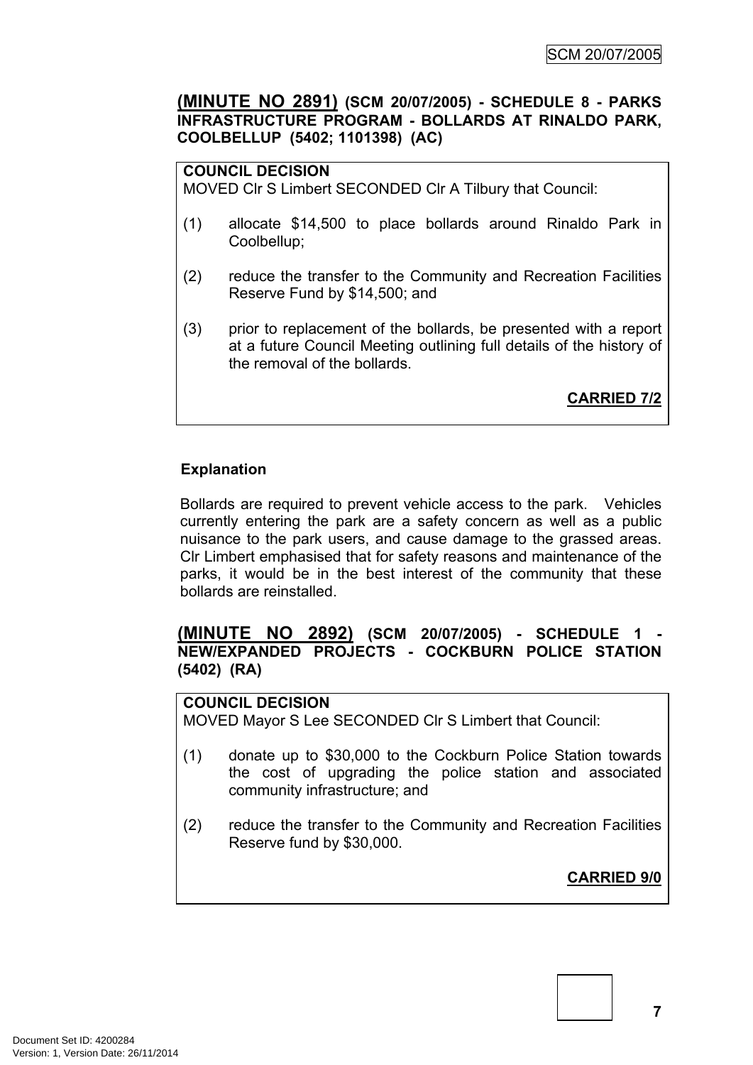## <span id="page-8-0"></span>**(MINUTE NO 2891) (SCM 20/07/2005) - SCHEDULE 8 - PARKS INFRASTRUCTURE PROGRAM - BOLLARDS AT RINALDO PARK, COOLBELLUP (5402; 1101398) (AC)**

# **COUNCIL DECISION**

MOVED Clr S Limbert SECONDED Clr A Tilbury that Council:

- (1) allocate \$14,500 to place bollards around Rinaldo Park in Coolbellup;
- (2) reduce the transfer to the Community and Recreation Facilities Reserve Fund by \$14,500; and
- (3) prior to replacement of the bollards, be presented with a report at a future Council Meeting outlining full details of the history of the removal of the bollards.

**CARRIED 7/2**

# **Explanation**

Bollards are required to prevent vehicle access to the park. Vehicles currently entering the park are a safety concern as well as a public nuisance to the park users, and cause damage to the grassed areas. Clr Limbert emphasised that for safety reasons and maintenance of the parks, it would be in the best interest of the community that these bollards are reinstalled.

# <span id="page-8-1"></span>**(MINUTE NO 2892) (SCM 20/07/2005) - SCHEDULE 1 - NEW/EXPANDED PROJECTS - COCKBURN POLICE STATION (5402) (RA)**

# **COUNCIL DECISION**

MOVED Mayor S Lee SECONDED Clr S Limbert that Council:

- (1) donate up to \$30,000 to the Cockburn Police Station towards the cost of upgrading the police station and associated community infrastructure; and
- (2) reduce the transfer to the Community and Recreation Facilities Reserve fund by \$30,000.

**CARRIED 9/0**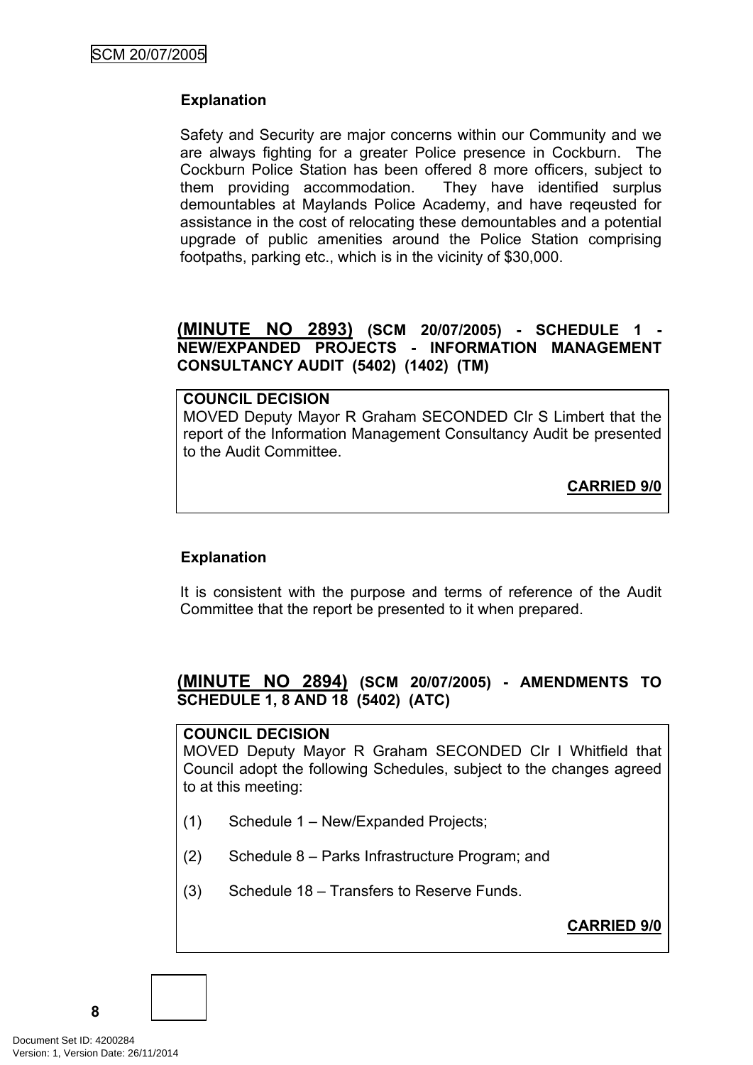# **Explanation**

Safety and Security are major concerns within our Community and we are always fighting for a greater Police presence in Cockburn. The Cockburn Police Station has been offered 8 more officers, subject to them providing accommodation. They have identified surplus demountables at Maylands Police Academy, and have reqeusted for assistance in the cost of relocating these demountables and a potential upgrade of public amenities around the Police Station comprising footpaths, parking etc., which is in the vicinity of \$30,000.

# <span id="page-9-0"></span>**(MINUTE NO 2893) (SCM 20/07/2005) - SCHEDULE 1 - NEW/EXPANDED PROJECTS - INFORMATION MANAGEMENT CONSULTANCY AUDIT (5402) (1402) (TM)**

### **COUNCIL DECISION** MOVED Deputy Mayor R Graham SECONDED Clr S Limbert that the report of the Information Management Consultancy Audit be presented to the Audit Committee.

**CARRIED 9/0**

# **Explanation**

It is consistent with the purpose and terms of reference of the Audit Committee that the report be presented to it when prepared.

# <span id="page-9-1"></span>**(MINUTE NO 2894) (SCM 20/07/2005) - AMENDMENTS TO SCHEDULE 1, 8 AND 18 (5402) (ATC)**

#### **COUNCIL DECISION**

MOVED Deputy Mayor R Graham SECONDED Clr I Whitfield that Council adopt the following Schedules, subject to the changes agreed to at this meeting:

- (1) Schedule 1 New/Expanded Projects;
- (2) Schedule 8 Parks Infrastructure Program; and
- (3) Schedule 18 Transfers to Reserve Funds.

**CARRIED 9/0**

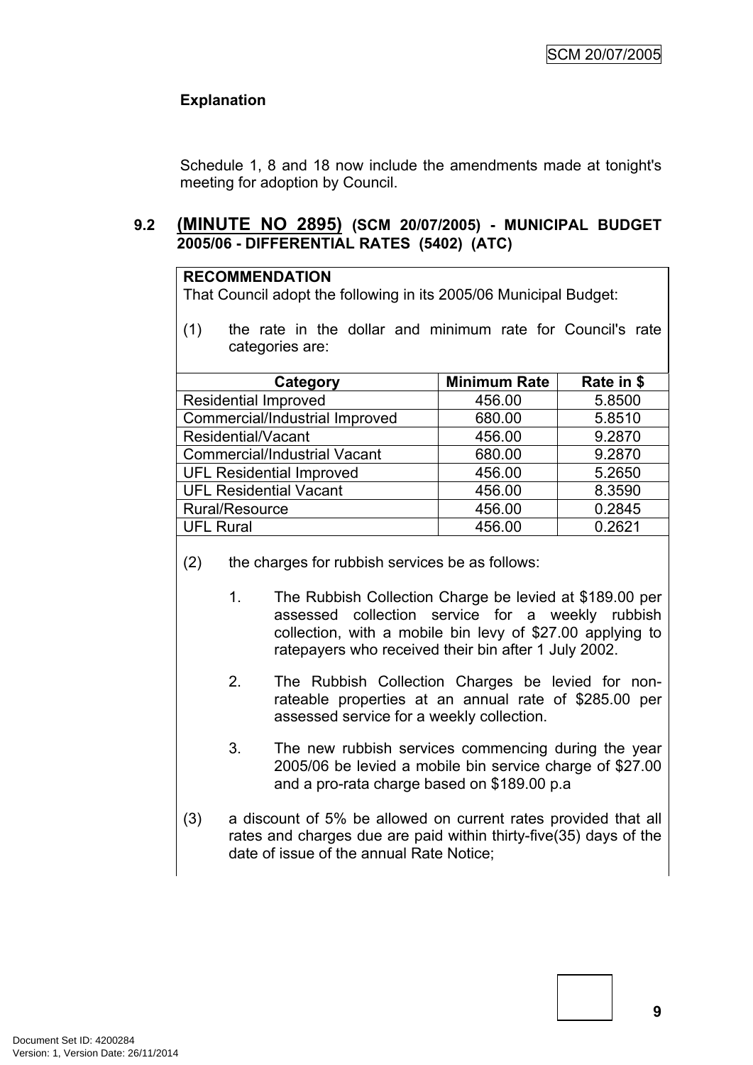# **Explanation**

Schedule 1, 8 and 18 now include the amendments made at tonight's meeting for adoption by Council.

## <span id="page-10-0"></span>**9.2 (MINUTE NO 2895) (SCM 20/07/2005) - MUNICIPAL BUDGET 2005/06 - DIFFERENTIAL RATES (5402) (ATC)**

#### **RECOMMENDATION**

That Council adopt the following in its 2005/06 Municipal Budget:

(1) the rate in the dollar and minimum rate for Council's rate categories are:

| Category                            | <b>Minimum Rate</b> | Rate in \$ |
|-------------------------------------|---------------------|------------|
| <b>Residential Improved</b>         | 456.00              | 5.8500     |
| Commercial/Industrial Improved      | 680.00              | 5.8510     |
| Residential/Vacant                  | 456.00              | 9.2870     |
| <b>Commercial/Industrial Vacant</b> | 680.00              | 9.2870     |
| <b>UFL Residential Improved</b>     | 456.00              | 5.2650     |
| <b>UFL Residential Vacant</b>       | 456.00              | 8.3590     |
| Rural/Resource                      | 456.00              | 0.2845     |
| <b>UFL Rural</b>                    | 456.00              | 0.2621     |

- (2) the charges for rubbish services be as follows:
	- 1. The Rubbish Collection Charge be levied at \$189.00 per assessed collection service for a weekly rubbish collection, with a mobile bin levy of \$27.00 applying to ratepayers who received their bin after 1 July 2002.
	- 2. The Rubbish Collection Charges be levied for nonrateable properties at an annual rate of \$285.00 per assessed service for a weekly collection.
	- 3. The new rubbish services commencing during the year 2005/06 be levied a mobile bin service charge of \$27.00 and a pro-rata charge based on \$189.00 p.a
- (3) a discount of 5% be allowed on current rates provided that all rates and charges due are paid within thirty-five(35) days of the date of issue of the annual Rate Notice;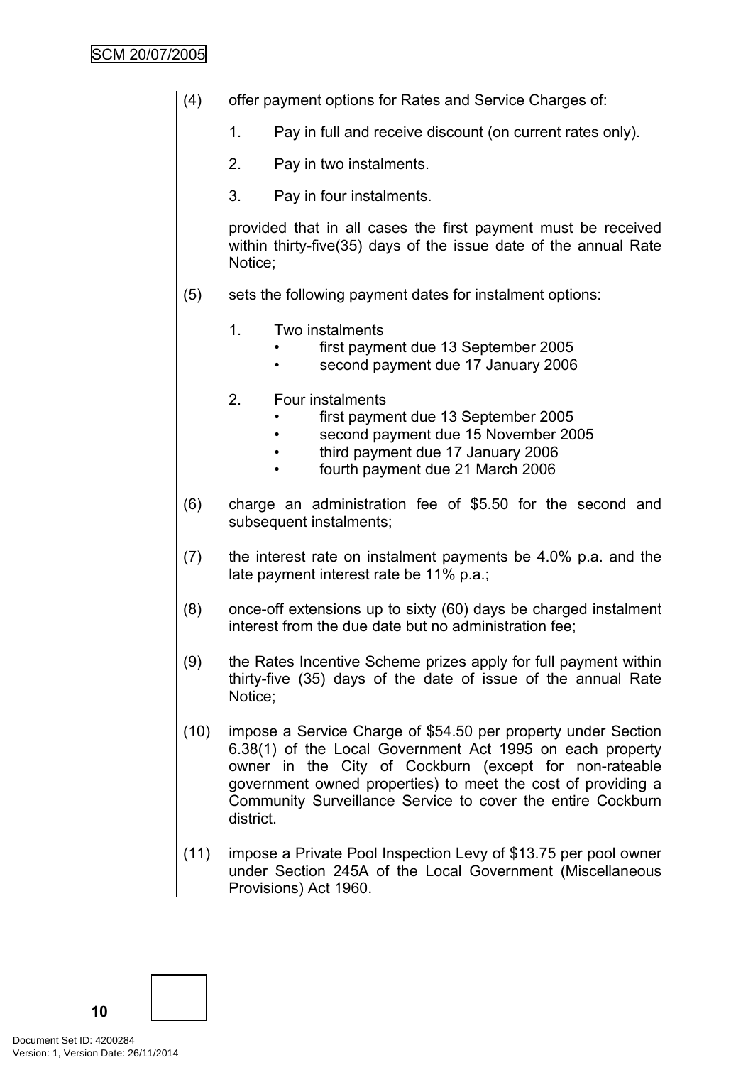# SCM 20/07/2005

- (4) offer payment options for Rates and Service Charges of:
	- 1. Pay in full and receive discount (on current rates only).
	- 2. Pay in two instalments.
	- 3. Pay in four instalments.

provided that in all cases the first payment must be received within thirty-five(35) days of the issue date of the annual Rate Notice;

- (5) sets the following payment dates for instalment options:
	- 1. Two instalments
		- first payment due 13 September 2005
		- second payment due 17 January 2006
	- 2. Four instalments
		- first payment due 13 September 2005
		- second payment due 15 November 2005
		- third payment due 17 January 2006
		- fourth payment due 21 March 2006
- (6) charge an administration fee of \$5.50 for the second and subsequent instalments:
- (7) the interest rate on instalment payments be 4.0% p.a. and the late payment interest rate be 11% p.a.;
- (8) once-off extensions up to sixty (60) days be charged instalment interest from the due date but no administration fee;
- (9) the Rates Incentive Scheme prizes apply for full payment within thirty-five (35) days of the date of issue of the annual Rate Notice;
- (10) impose a Service Charge of \$54.50 per property under Section 6.38(1) of the Local Government Act 1995 on each property owner in the City of Cockburn (except for non-rateable government owned properties) to meet the cost of providing a Community Surveillance Service to cover the entire Cockburn district.
- (11) impose a Private Pool Inspection Levy of \$13.75 per pool owner under Section 245A of the Local Government (Miscellaneous Provisions) Act 1960.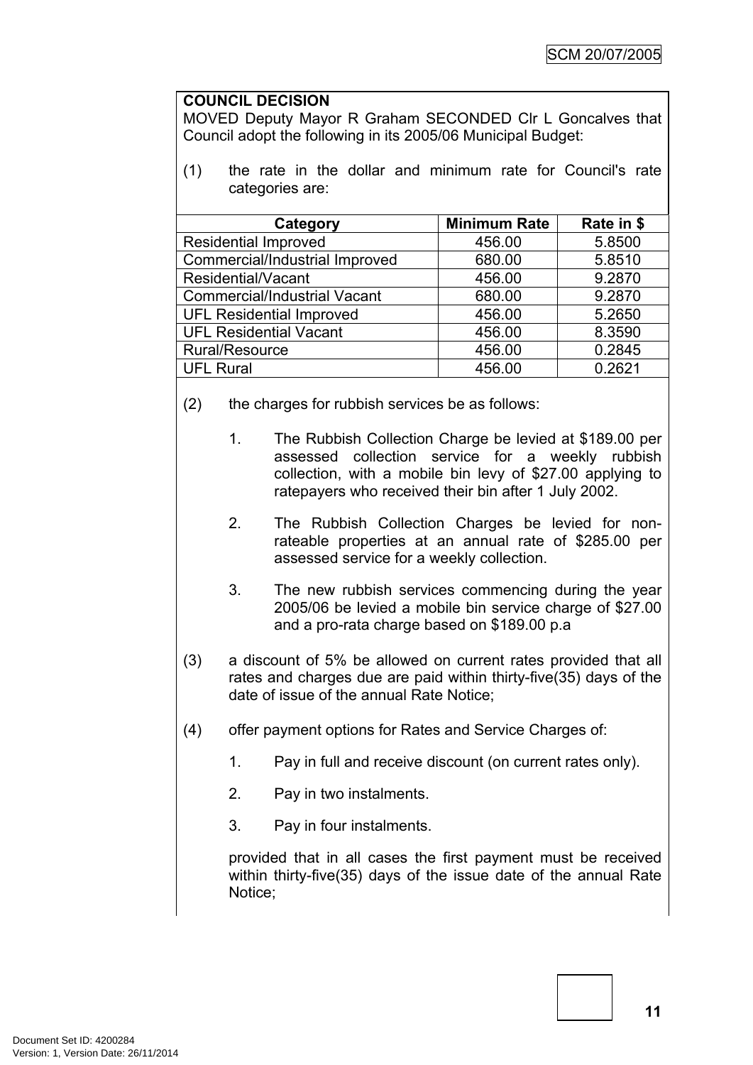#### **COUNCIL DECISION**

MOVED Deputy Mayor R Graham SECONDED Clr L Goncalves that Council adopt the following in its 2005/06 Municipal Budget:

(1) the rate in the dollar and minimum rate for Council's rate categories are:

| Category                            | <b>Minimum Rate</b> | Rate in \$ |
|-------------------------------------|---------------------|------------|
| <b>Residential Improved</b>         | 456.00              | 5.8500     |
| Commercial/Industrial Improved      | 680.00              | 5.8510     |
| Residential/Vacant                  | 456.00              | 9.2870     |
| <b>Commercial/Industrial Vacant</b> | 680.00              | 9.2870     |
| <b>UFL Residential Improved</b>     | 456.00              | 5.2650     |
| <b>UFL Residential Vacant</b>       | 456.00              | 8.3590     |
| Rural/Resource                      | 456.00              | 0.2845     |
| <b>UFL Rural</b>                    | 456.00              | 0.2621     |

- (2) the charges for rubbish services be as follows:
	- 1. The Rubbish Collection Charge be levied at \$189.00 per assessed collection service for a weekly rubbish collection, with a mobile bin levy of \$27.00 applying to ratepayers who received their bin after 1 July 2002.
	- 2. The Rubbish Collection Charges be levied for nonrateable properties at an annual rate of \$285.00 per assessed service for a weekly collection.
	- 3. The new rubbish services commencing during the year 2005/06 be levied a mobile bin service charge of \$27.00 and a pro-rata charge based on \$189.00 p.a
- (3) a discount of 5% be allowed on current rates provided that all rates and charges due are paid within thirty-five(35) days of the date of issue of the annual Rate Notice;
- (4) offer payment options for Rates and Service Charges of:
	- 1. Pay in full and receive discount (on current rates only).
	- 2. Pay in two instalments.
	- 3. Pay in four instalments.

provided that in all cases the first payment must be received within thirty-five(35) days of the issue date of the annual Rate Notice;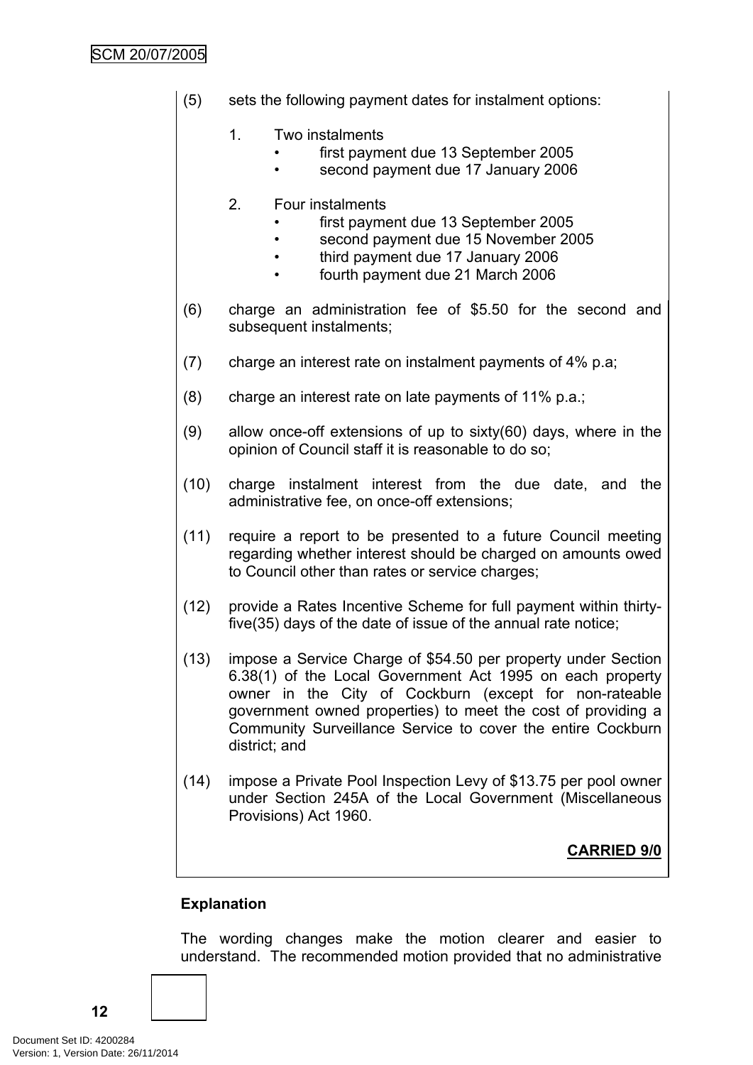# SCM 20/07/2005

(5) sets the following payment dates for instalment options:

### 1. Two instalments

- first payment due 13 September 2005
- second payment due 17 January 2006

# 2. Four instalments

- first payment due 13 September 2005
- second payment due 15 November 2005
- third payment due 17 January 2006
- fourth payment due 21 March 2006
- (6) charge an administration fee of \$5.50 for the second and subsequent instalments;
- (7) charge an interest rate on instalment payments of 4% p.a;
- (8) charge an interest rate on late payments of 11% p.a.;
- (9) allow once-off extensions of up to sixty(60) days, where in the opinion of Council staff it is reasonable to do so;
- (10) charge instalment interest from the due date, and the administrative fee, on once-off extensions;
- (11) require a report to be presented to a future Council meeting regarding whether interest should be charged on amounts owed to Council other than rates or service charges;
- (12) provide a Rates Incentive Scheme for full payment within thirtyfive(35) days of the date of issue of the annual rate notice;
- (13) impose a Service Charge of \$54.50 per property under Section 6.38(1) of the Local Government Act 1995 on each property owner in the City of Cockburn (except for non-rateable government owned properties) to meet the cost of providing a Community Surveillance Service to cover the entire Cockburn district; and
- (14) impose a Private Pool Inspection Levy of \$13.75 per pool owner under Section 245A of the Local Government (Miscellaneous Provisions) Act 1960.

**CARRIED 9/0**

# **Explanation**

The wording changes make the motion clearer and easier to understand. The recommended motion provided that no administrative

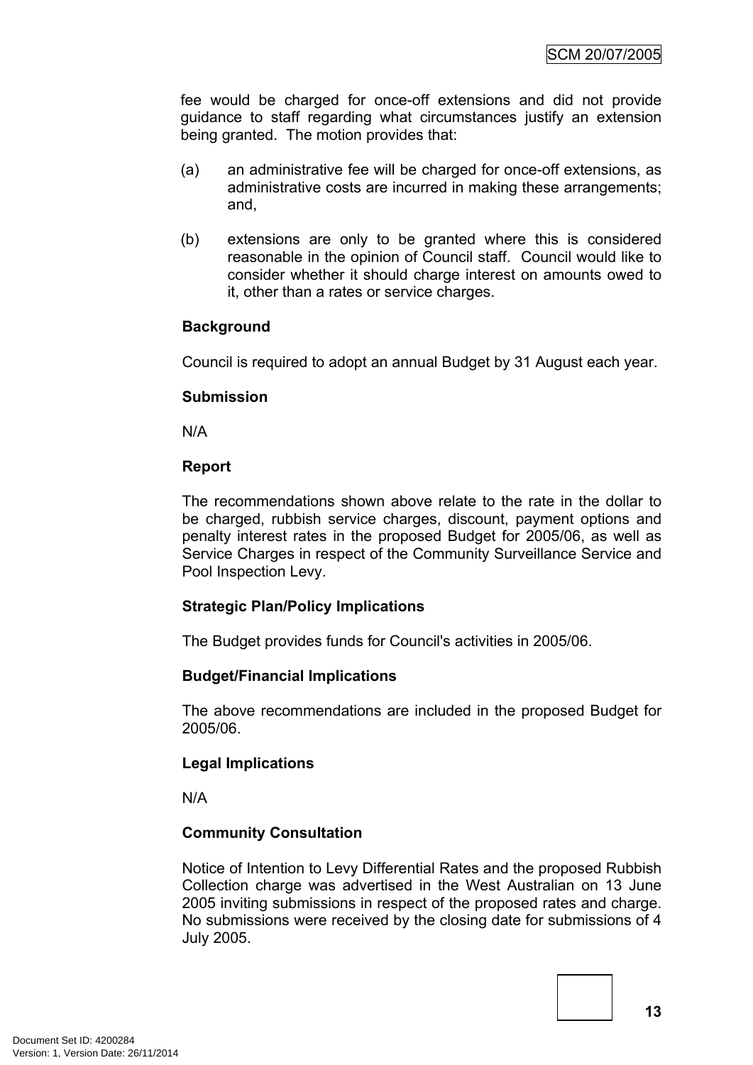fee would be charged for once-off extensions and did not provide guidance to staff regarding what circumstances justify an extension being granted. The motion provides that:

- (a) an administrative fee will be charged for once-off extensions, as administrative costs are incurred in making these arrangements; and,
- (b) extensions are only to be granted where this is considered reasonable in the opinion of Council staff. Council would like to consider whether it should charge interest on amounts owed to it, other than a rates or service charges.

# **Background**

Council is required to adopt an annual Budget by 31 August each year.

### **Submission**

N/A

### **Report**

The recommendations shown above relate to the rate in the dollar to be charged, rubbish service charges, discount, payment options and penalty interest rates in the proposed Budget for 2005/06, as well as Service Charges in respect of the Community Surveillance Service and Pool Inspection Levy.

### **Strategic Plan/Policy Implications**

The Budget provides funds for Council's activities in 2005/06.

# **Budget/Financial Implications**

The above recommendations are included in the proposed Budget for 2005/06.

### **Legal Implications**

N/A

# **Community Consultation**

Notice of Intention to Levy Differential Rates and the proposed Rubbish Collection charge was advertised in the West Australian on 13 June 2005 inviting submissions in respect of the proposed rates and charge. No submissions were received by the closing date for submissions of 4 July 2005.

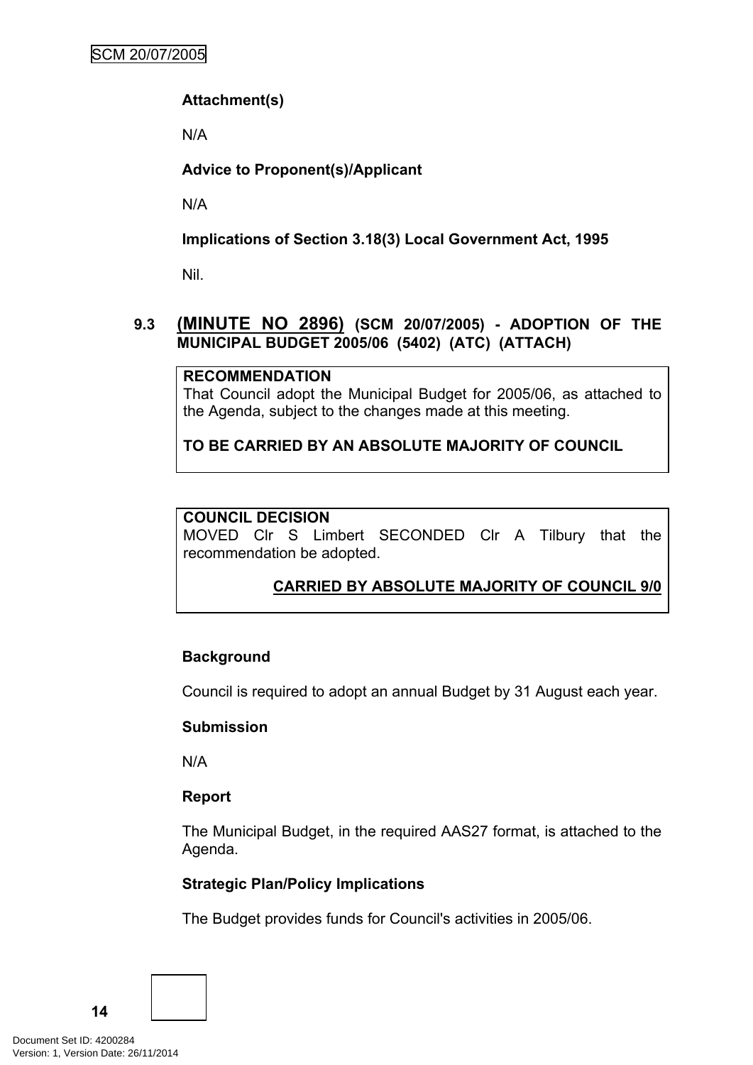# **Attachment(s)**

N/A

**Advice to Proponent(s)/Applicant**

N/A

# **Implications of Section 3.18(3) Local Government Act, 1995**

Nil.

# <span id="page-15-0"></span>**9.3 (MINUTE NO 2896) (SCM 20/07/2005) - ADOPTION OF THE MUNICIPAL BUDGET 2005/06 (5402) (ATC) (ATTACH)**

# **RECOMMENDATION**

That Council adopt the Municipal Budget for 2005/06, as attached to the Agenda, subject to the changes made at this meeting.

**TO BE CARRIED BY AN ABSOLUTE MAJORITY OF COUNCIL**

# **COUNCIL DECISION**

MOVED Clr S Limbert SECONDED Clr A Tilbury that the recommendation be adopted.

# **CARRIED BY ABSOLUTE MAJORITY OF COUNCIL 9/0**

# **Background**

Council is required to adopt an annual Budget by 31 August each year.

# **Submission**

N/A

# **Report**

The Municipal Budget, in the required AAS27 format, is attached to the Agenda.

# **Strategic Plan/Policy Implications**

The Budget provides funds for Council's activities in 2005/06.

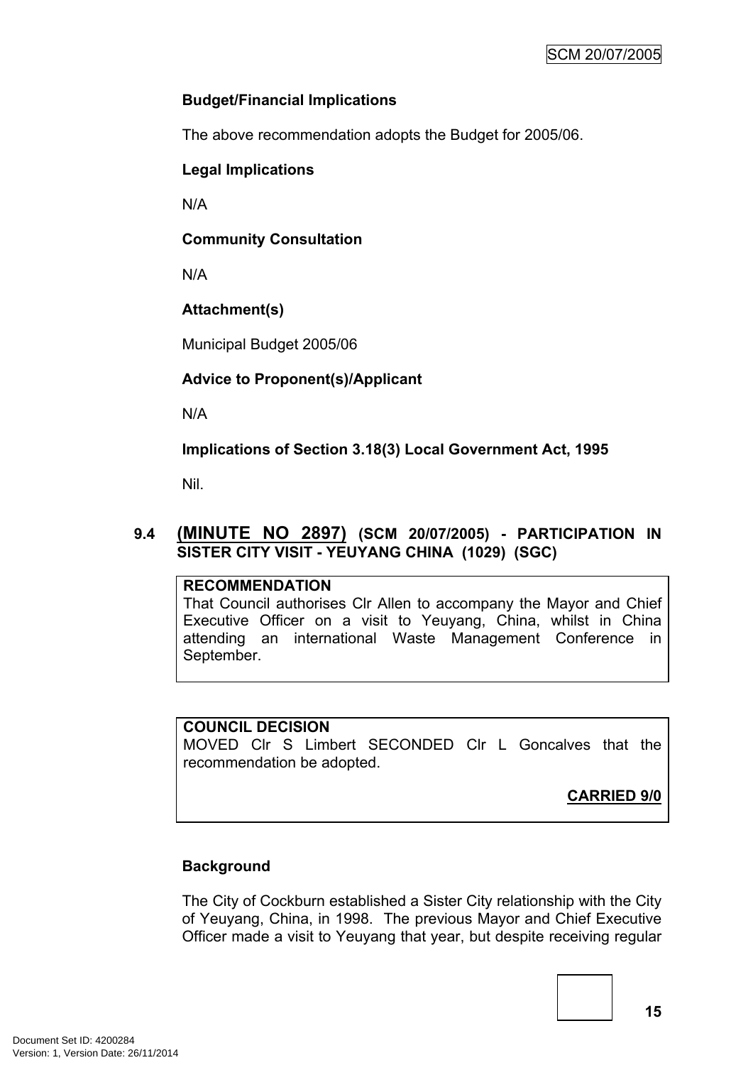# **Budget/Financial Implications**

The above recommendation adopts the Budget for 2005/06.

# **Legal Implications**

N/A

# **Community Consultation**

N/A

# **Attachment(s)**

Municipal Budget 2005/06

# **Advice to Proponent(s)/Applicant**

N/A

**Implications of Section 3.18(3) Local Government Act, 1995**

Nil.

# <span id="page-16-0"></span>**9.4 (MINUTE NO 2897) (SCM 20/07/2005) - PARTICIPATION IN SISTER CITY VISIT - YEUYANG CHINA (1029) (SGC)**

# **RECOMMENDATION**

That Council authorises Clr Allen to accompany the Mayor and Chief Executive Officer on a visit to Yeuyang, China, whilst in China attending an international Waste Management Conference in September.

### **COUNCIL DECISION**

MOVED Clr S Limbert SECONDED Clr L Goncalves that the recommendation be adopted.

**CARRIED 9/0**

# **Background**

The City of Cockburn established a Sister City relationship with the City of Yeuyang, China, in 1998. The previous Mayor and Chief Executive Officer made a visit to Yeuyang that year, but despite receiving regular

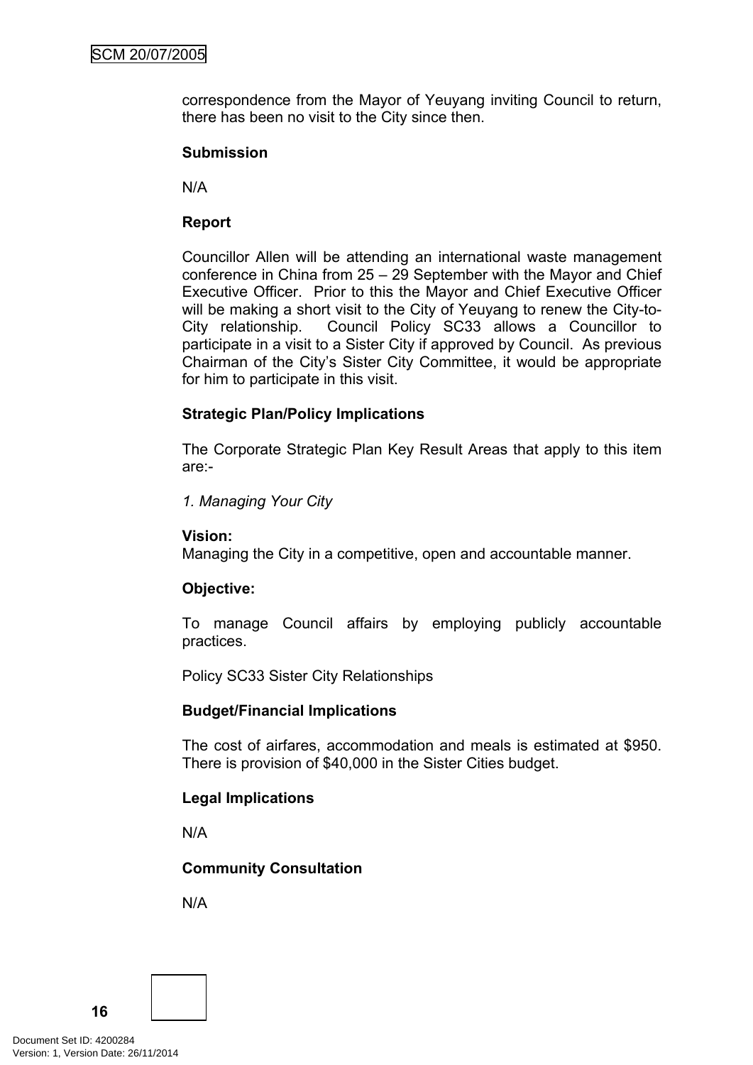correspondence from the Mayor of Yeuyang inviting Council to return, there has been no visit to the City since then.

#### **Submission**

N/A

### **Report**

Councillor Allen will be attending an international waste management conference in China from 25 – 29 September with the Mayor and Chief Executive Officer. Prior to this the Mayor and Chief Executive Officer will be making a short visit to the City of Yeuyang to renew the City-to-City relationship. Council Policy SC33 allows a Councillor to participate in a visit to a Sister City if approved by Council. As previous Chairman of the City's Sister City Committee, it would be appropriate for him to participate in this visit.

### **Strategic Plan/Policy Implications**

The Corporate Strategic Plan Key Result Areas that apply to this item are:-

*1. Managing Your City*

### **Vision:**

Managing the City in a competitive, open and accountable manner.

### **Objective:**

To manage Council affairs by employing publicly accountable practices.

Policy SC33 Sister City Relationships

#### **Budget/Financial Implications**

The cost of airfares, accommodation and meals is estimated at \$950. There is provision of \$40,000 in the Sister Cities budget.

### **Legal Implications**

N/A

### **Community Consultation**

N/A

Document Set ID: 4200284<br>Version: 1, Version Date: 26/11/2014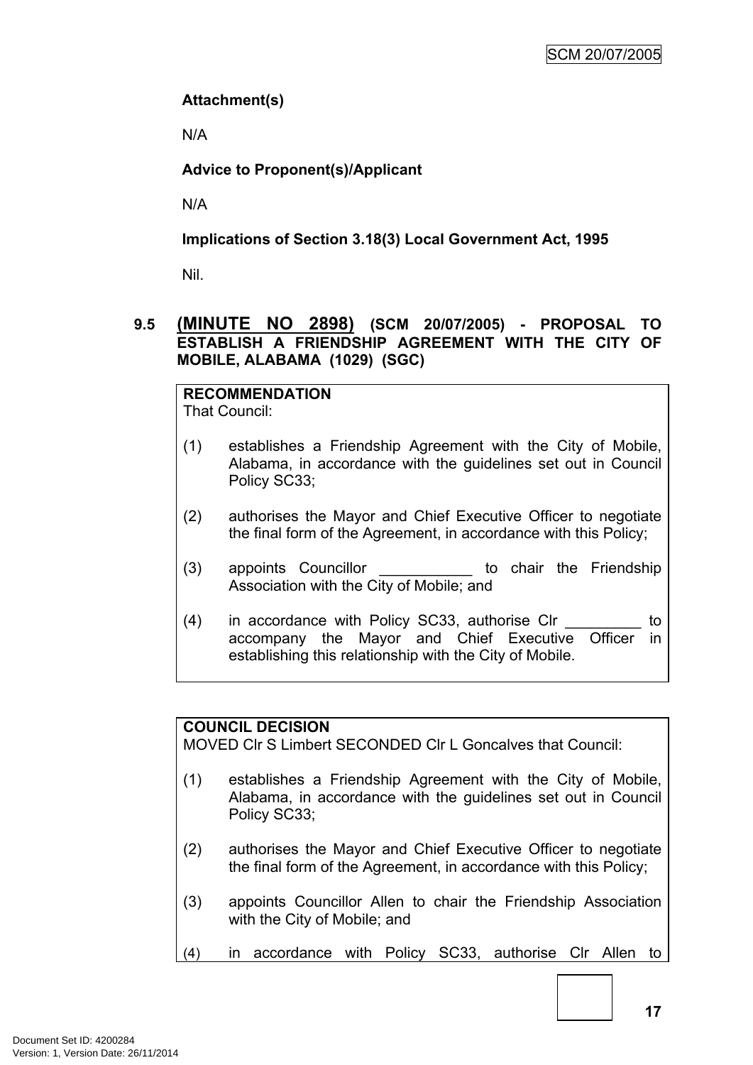# **Attachment(s)**

N/A

# **Advice to Proponent(s)/Applicant**

N/A

# **Implications of Section 3.18(3) Local Government Act, 1995**

Nil.

# <span id="page-18-0"></span>**9.5 (MINUTE NO 2898) (SCM 20/07/2005) - PROPOSAL TO ESTABLISH A FRIENDSHIP AGREEMENT WITH THE CITY OF MOBILE, ALABAMA (1029) (SGC)**

# **RECOMMENDATION**

That Council:

- (1) establishes a Friendship Agreement with the City of Mobile, Alabama, in accordance with the guidelines set out in Council Policy SC33;
- (2) authorises the Mayor and Chief Executive Officer to negotiate the final form of the Agreement, in accordance with this Policy;
- (3) appoints Councillor **be the Structure of the Friendship** Association with the City of Mobile; and
- (4) in accordance with Policy SC33, authorise Clr  $\qquad \qquad$  to accompany the Mayor and Chief Executive Officer in establishing this relationship with the City of Mobile.

# **COUNCIL DECISION**

MOVED Clr S Limbert SECONDED Clr L Goncalves that Council:

- (1) establishes a Friendship Agreement with the City of Mobile, Alabama, in accordance with the guidelines set out in Council Policy SC33;
- (2) authorises the Mayor and Chief Executive Officer to negotiate the final form of the Agreement, in accordance with this Policy;
- (3) appoints Councillor Allen to chair the Friendship Association with the City of Mobile; and
- (4) in accordance with Policy SC33, authorise Clr Allen to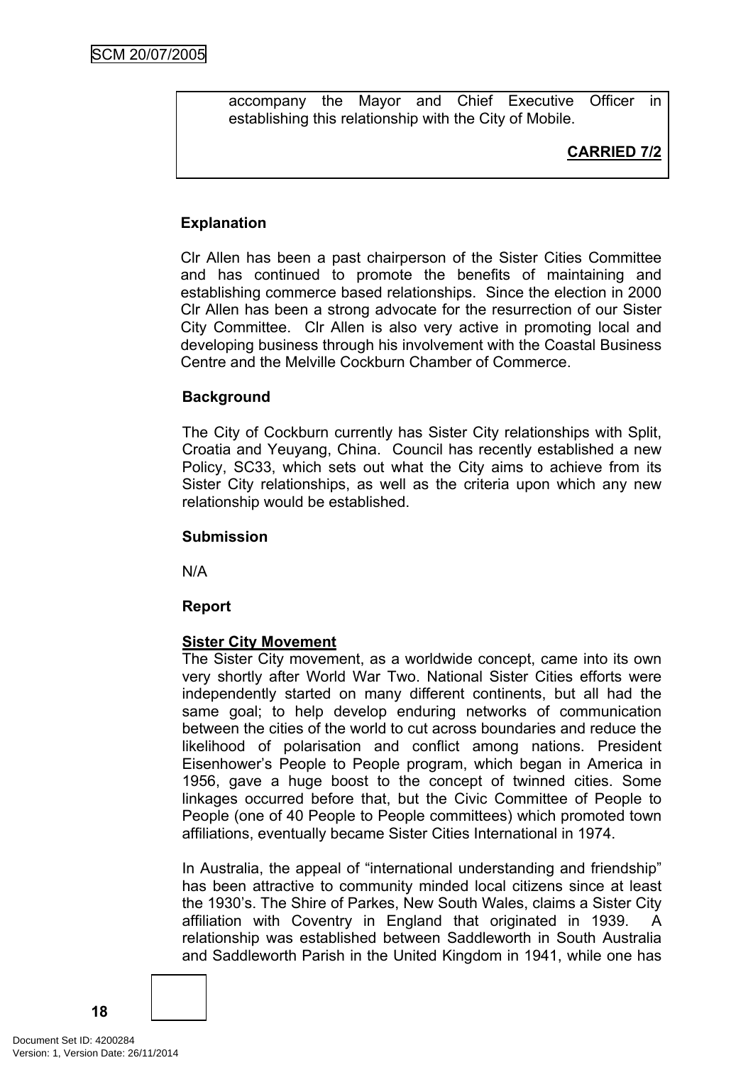accompany the Mayor and Chief Executive Officer in establishing this relationship with the City of Mobile.

# **CARRIED 7/2**

# **Explanation**

Clr Allen has been a past chairperson of the Sister Cities Committee and has continued to promote the benefits of maintaining and establishing commerce based relationships. Since the election in 2000 Clr Allen has been a strong advocate for the resurrection of our Sister City Committee. Clr Allen is also very active in promoting local and developing business through his involvement with the Coastal Business Centre and the Melville Cockburn Chamber of Commerce.

### **Background**

The City of Cockburn currently has Sister City relationships with Split, Croatia and Yeuyang, China. Council has recently established a new Policy, SC33, which sets out what the City aims to achieve from its Sister City relationships, as well as the criteria upon which any new relationship would be established.

#### **Submission**

N/A

### **Report**

### **Sister City Movement**

The Sister City movement, as a worldwide concept, came into its own very shortly after World War Two. National Sister Cities efforts were independently started on many different continents, but all had the same goal; to help develop enduring networks of communication between the cities of the world to cut across boundaries and reduce the likelihood of polarisation and conflict among nations. President Eisenhower's People to People program, which began in America in 1956, gave a huge boost to the concept of twinned cities. Some linkages occurred before that, but the Civic Committee of People to People (one of 40 People to People committees) which promoted town affiliations, eventually became Sister Cities International in 1974.

In Australia, the appeal of "international understanding and friendship" has been attractive to community minded local citizens since at least the 1930's. The Shire of Parkes, New South Wales, claims a Sister City affiliation with Coventry in England that originated in 1939. A relationship was established between Saddleworth in South Australia and Saddleworth Parish in the United Kingdom in 1941, while one has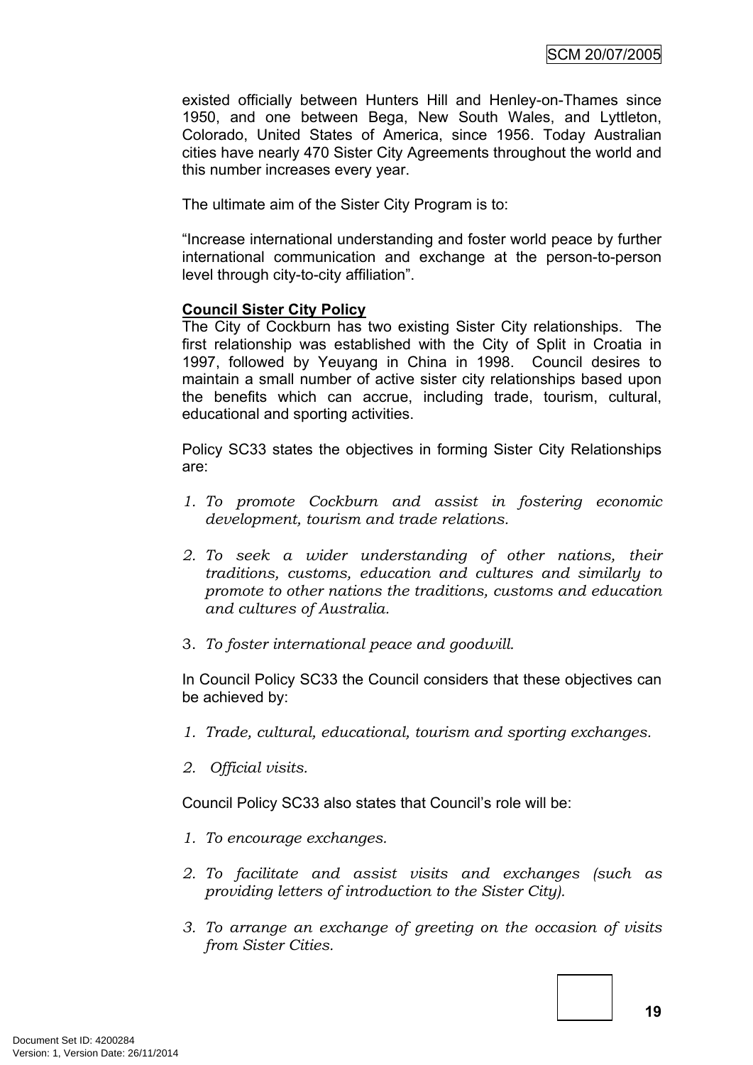existed officially between Hunters Hill and Henley-on-Thames since 1950, and one between Bega, New South Wales, and Lyttleton, Colorado, United States of America, since 1956. Today Australian cities have nearly 470 Sister City Agreements throughout the world and this number increases every year.

The ultimate aim of the Sister City Program is to:

"Increase international understanding and foster world peace by further international communication and exchange at the person-to-person level through city-to-city affiliation".

#### **Council Sister City Policy**

The City of Cockburn has two existing Sister City relationships. The first relationship was established with the City of Split in Croatia in 1997, followed by Yeuyang in China in 1998. Council desires to maintain a small number of active sister city relationships based upon the benefits which can accrue, including trade, tourism, cultural, educational and sporting activities.

Policy SC33 states the objectives in forming Sister City Relationships are:

- *1. To promote Cockburn and assist in fostering economic development, tourism and trade relations.*
- *2. To seek a wider understanding of other nations, their traditions, customs, education and cultures and similarly to promote to other nations the traditions, customs and education and cultures of Australia.*
- 3. *To foster international peace and goodwill.*

In Council Policy SC33 the Council considers that these objectives can be achieved by:

- *1. Trade, cultural, educational, tourism and sporting exchanges.*
- *2. Official visits.*

Council Policy SC33 also states that Council's role will be:

- *1. To encourage exchanges.*
- *2. To facilitate and assist visits and exchanges (such as providing letters of introduction to the Sister City).*
- *3. To arrange an exchange of greeting on the occasion of visits from Sister Cities.*

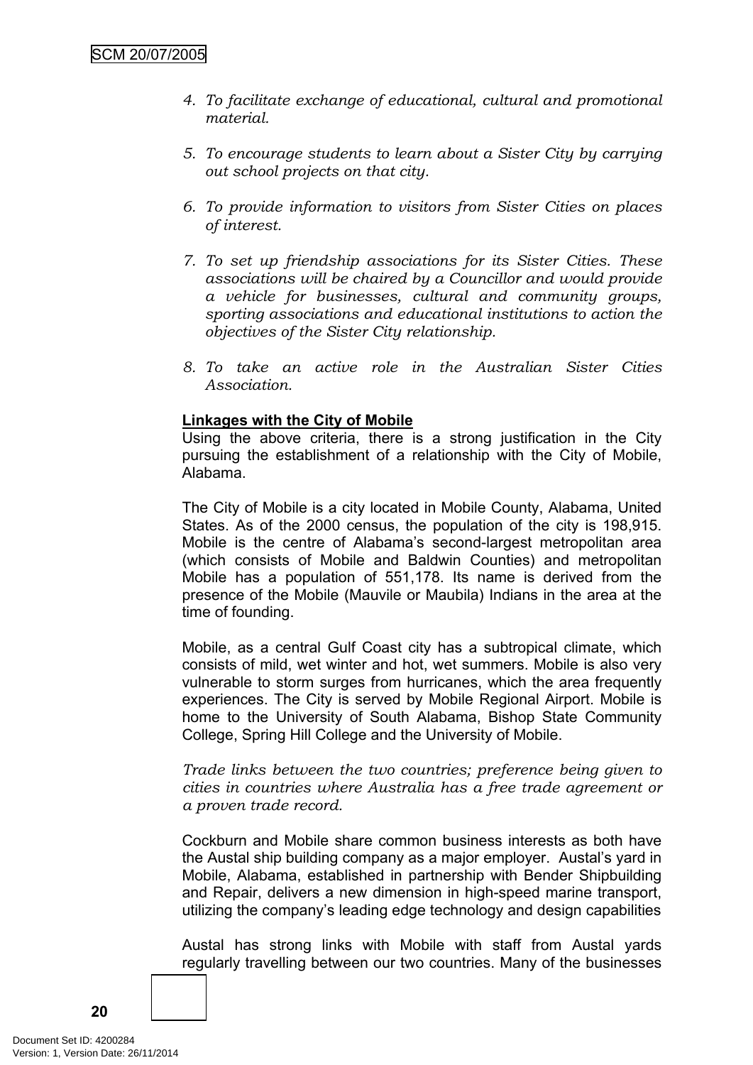- *4. To facilitate exchange of educational, cultural and promotional material.*
- *5. To encourage students to learn about a Sister City by carrying out school projects on that city.*
- *6. To provide information to visitors from Sister Cities on places of interest.*
- *7. To set up friendship associations for its Sister Cities. These associations will be chaired by a Councillor and would provide a vehicle for businesses, cultural and community groups, sporting associations and educational institutions to action the objectives of the Sister City relationship.*
- *8. To take an active role in the Australian Sister Cities Association.*

### **Linkages with the City of Mobile**

Using the above criteria, there is a strong justification in the City pursuing the establishment of a relationship with the City of Mobile, Alabama.

The City of Mobile is a city located in Mobile County, Alabama, United States. As of the 2000 census, the population of the city is 198,915. Mobile is the centre of Alabama's second-largest metropolitan area (which consists of Mobile and Baldwin Counties) and metropolitan Mobile has a population of 551,178. Its name is derived from the presence of the Mobile (Mauvile or Maubila) Indians in the area at the time of founding.

Mobile, as a central Gulf Coast city has a subtropical climate, which consists of mild, wet winter and hot, wet summers. Mobile is also very vulnerable to storm surges from hurricanes, which the area frequently experiences. The City is served by Mobile Regional Airport. Mobile is home to the University of South Alabama, Bishop State Community College, Spring Hill College and the University of Mobile.

*Trade links between the two countries; preference being given to cities in countries where Australia has a free trade agreement or a proven trade record.*

Cockburn and Mobile share common business interests as both have the Austal ship building company as a major employer. Austal's yard in Mobile, Alabama, established in partnership with Bender Shipbuilding and Repair, delivers a new dimension in high-speed marine transport, utilizing the company's leading edge technology and design capabilities

Austal has strong links with Mobile with staff from Austal yards regularly travelling between our two countries. Many of the businesses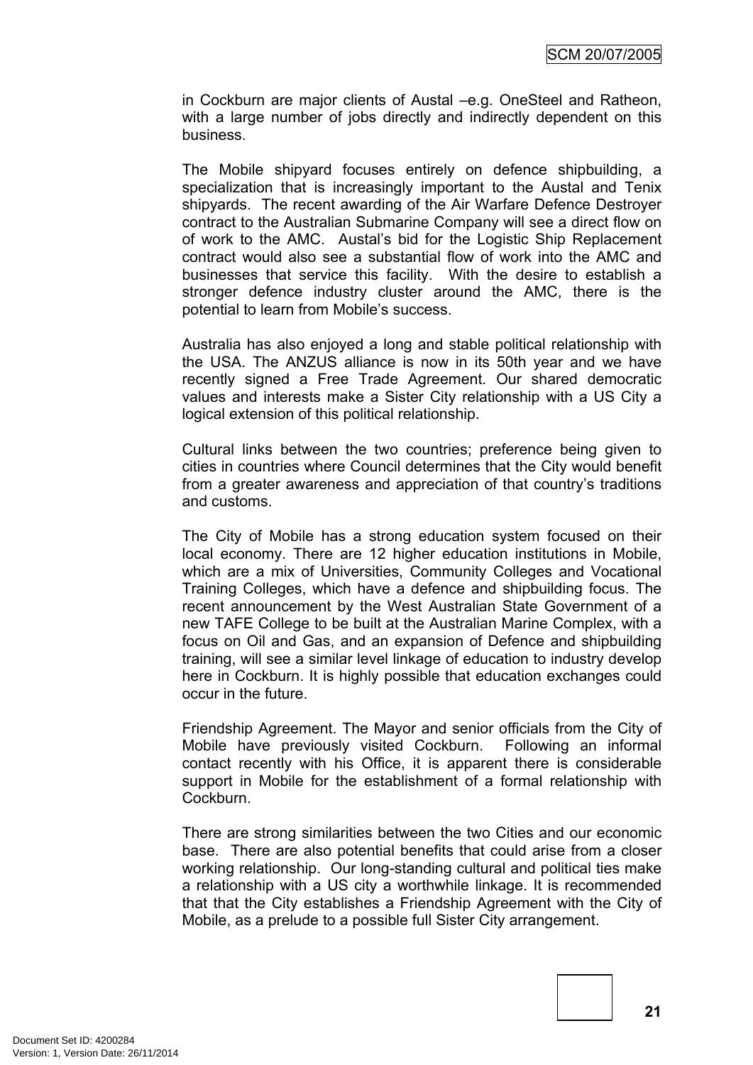in Cockburn are major clients of Austal –e.g. OneSteel and Ratheon, with a large number of jobs directly and indirectly dependent on this business.

The Mobile shipyard focuses entirely on defence shipbuilding, a specialization that is increasingly important to the Austal and Tenix shipyards. The recent awarding of the Air Warfare Defence Destroyer contract to the Australian Submarine Company will see a direct flow on of work to the AMC. Austal's bid for the Logistic Ship Replacement contract would also see a substantial flow of work into the AMC and businesses that service this facility. With the desire to establish a stronger defence industry cluster around the AMC, there is the potential to learn from Mobile's success.

Australia has also enjoyed a long and stable political relationship with the USA. The ANZUS alliance is now in its 50th year and we have recently signed a Free Trade Agreement. Our shared democratic values and interests make a Sister City relationship with a US City a logical extension of this political relationship.

Cultural links between the two countries; preference being given to cities in countries where Council determines that the City would benefit from a greater awareness and appreciation of that country's traditions and customs.

The City of Mobile has a strong education system focused on their local economy. There are 12 higher education institutions in Mobile, which are a mix of Universities, Community Colleges and Vocational Training Colleges, which have a defence and shipbuilding focus. The recent announcement by the West Australian State Government of a new TAFE College to be built at the Australian Marine Complex, with a focus on Oil and Gas, and an expansion of Defence and shipbuilding training, will see a similar level linkage of education to industry develop here in Cockburn. It is highly possible that education exchanges could occur in the future.

Friendship Agreement. The Mayor and senior officials from the City of Mobile have previously visited Cockburn. Following an informal contact recently with his Office, it is apparent there is considerable support in Mobile for the establishment of a formal relationship with Cockburn.

There are strong similarities between the two Cities and our economic base. There are also potential benefits that could arise from a closer working relationship. Our long-standing cultural and political ties make a relationship with a US city a worthwhile linkage. It is recommended that that the City establishes a Friendship Agreement with the City of Mobile, as a prelude to a possible full Sister City arrangement.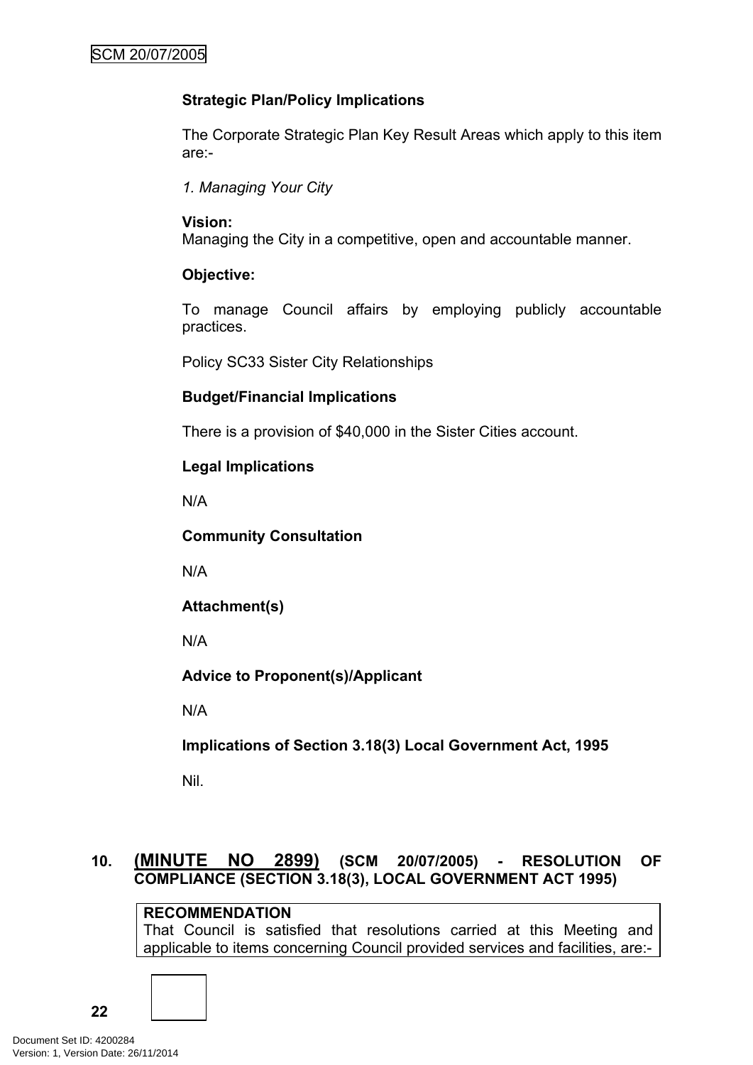# **Strategic Plan/Policy Implications**

The Corporate Strategic Plan Key Result Areas which apply to this item are:-

*1. Managing Your City*

# **Vision:**

Managing the City in a competitive, open and accountable manner.

# **Objective:**

To manage Council affairs by employing publicly accountable practices.

Policy SC33 Sister City Relationships

# **Budget/Financial Implications**

There is a provision of \$40,000 in the Sister Cities account.

# **Legal Implications**

N/A

**Community Consultation**

N/A

**Attachment(s)**

N/A

**Advice to Proponent(s)/Applicant**

N/A

**Implications of Section 3.18(3) Local Government Act, 1995**

Nil.

# <span id="page-23-0"></span>**10. (MINUTE NO 2899) (SCM 20/07/2005) - RESOLUTION OF COMPLIANCE (SECTION 3.18(3), LOCAL GOVERNMENT ACT 1995)**

# **RECOMMENDATION**

That Council is satisfied that resolutions carried at this Meeting and applicable to items concerning Council provided services and facilities, are:-